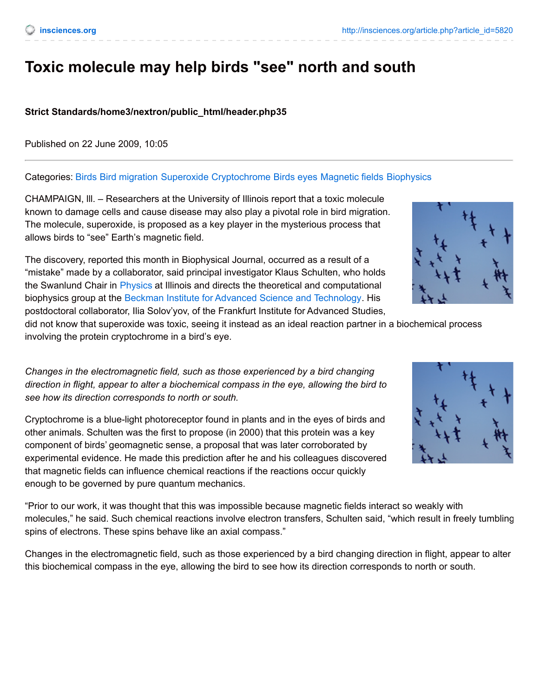# **Toxic molecule may help birds "see" north and south**

# **Strict Standards/home3/nextron/public\_html/header.php35**

Published on 22 June 2009, 10:05

## Categories: [Birds](http://insciences.org/articles.php?tag=Birds) Bird [migration](http://insciences.org/articles.php?tag=Bird migration) [Superoxide](http://insciences.org/articles.php?tag=Superoxide) [Cryptochrome](http://insciences.org/articles.php?tag=Cryptochrome) [Birds](http://insciences.org/articles.php?tag=Birds eyes) eyes [Magnetic](http://insciences.org/articles.php?tag=Magnetic fields) fields [Biophysics](http://insciences.org/articles.php?tag=Biophysics)

CHAMPAIGN, lll. – Researchers at the University of Illinois report that a toxic molecule known to damage cells and cause disease may also play a pivotal role in bird migration. The molecule, superoxide, is proposed as a key player in the mysterious process that allows birds to "see" Earth's magnetic field.

The discovery, reported this month in Biophysical Journal, occurred as a result of a "mistake" made by a collaborator, said principal investigator Klaus Schulten, who holds the Swanlund Chair in [Physics](http://www.physics.illinois.edu/) at Illinois and directs the theoretical and computational biophysics group at the Beckman Institute for Advanced Science and [Technology](http://www.beckman.illinois.edu/). His postdoctoral collaborator, Ilia Solov'yov, of the Frankfurt Institute for Advanced Studies,

did not know that superoxide was toxic, seeing it instead as an ideal reaction partner in a biochemical process involving the protein cryptochrome in a bird's eye.

*Changes in the electromagnetic field, such as those experienced by a bird changing direction in flight, appear to alter a biochemical compass in the eye, allowing the bird to see how its direction corresponds to north or south.*

Cryptochrome is a blue-light photoreceptor found in plants and in the eyes of birds and other animals. Schulten was the first to propose (in 2000) that this protein was a key component of birds' geomagnetic sense, a proposal that was later corroborated by experimental evidence. He made this prediction after he and his colleagues discovered that magnetic fields can influence chemical reactions if the reactions occur quickly enough to be governed by pure quantum mechanics.

"Prior to our work, it was thought that this was impossible because magnetic fields interact so weakly with molecules," he said. Such chemical reactions involve electron transfers, Schulten said, "which result in freely tumbling spins of electrons. These spins behave like an axial compass."

Changes in the electromagnetic field, such as those experienced by a bird changing direction in flight, appear to alter this biochemical compass in the eye, allowing the bird to see how its direction corresponds to north or south.



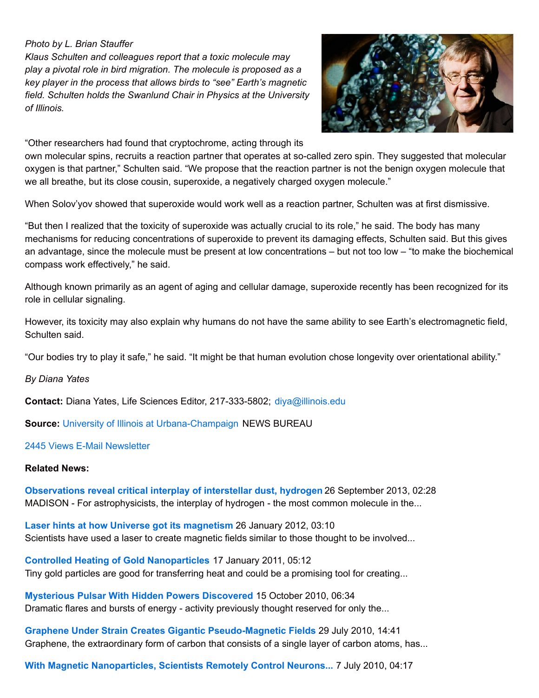### *Photo by L. Brian Stauffer*

*Klaus Schulten and colleagues report that a toxic molecule may play a pivotal role in bird migration. The molecule is proposed as a key player in the process that allows birds to "see" Earth's magnetic field. Schulten holds the Swanlund Chair in Physics at the University of Illinois.*



"Other researchers had found that cryptochrome, acting through its

own molecular spins, recruits a reaction partner that operates at so-called zero spin. They suggested that molecular oxygen is that partner," Schulten said. "We propose that the reaction partner is not the benign oxygen molecule that we all breathe, but its close cousin, superoxide, a negatively charged oxygen molecule."

When Solov'yov showed that superoxide would work well as a reaction partner, Schulten was at first dismissive.

"But then I realized that the toxicity of superoxide was actually crucial to its role," he said. The body has many mechanisms for reducing concentrations of superoxide to prevent its damaging effects, Schulten said. But this gives an advantage, since the molecule must be present at low concentrations – but not too low – "to make the biochemical compass work effectively," he said.

Although known primarily as an agent of aging and cellular damage, superoxide recently has been recognized for its role in cellular signaling.

However, its toxicity may also explain why humans do not have the same ability to see Earth's electromagnetic field, Schulten said.

"Our bodies try to play it safe," he said. "It might be that human evolution chose longevity over orientational ability."

*By Diana Yates*

**Contact:** Diana Yates, Life Sciences Editor, 217-333-5802; [diya@illinois.edu](mailto:diya@illinois.edu)

**Source:** University of Illinois at [Urbana-Champaign](http://illinois.edu/) NEWS BUREAU

#### 2445 [Views](http://insciences.org/article.php?article_id=5820#) E-Mail [Newsletter](http://feedburner.google.com/fb/a/mailverify?uri=insciences/articles&loc=en_US)

#### **Related News:**

**[Observations](http://insciences.org/article.php?article_id=11200) reveal critical interplay of interstellar dust, hydrogen** 26 September 2013, 02:28 MADISON - For astrophysicists, the interplay of hydrogen - the most common molecule in the...

**Laser hints at how Universe got its [magnetism](http://insciences.org/article.php?article_id=10650)** 26 January 2012, 03:10 Scientists have used a laser to create magnetic fields similar to those thought to be involved...

**Controlled Heating of Gold [Nanoparticles](http://insciences.org/article.php?article_id=9789)** 17 January 2011, 05:12 Tiny gold particles are good for transferring heat and could be a promising tool for creating...

**Mysterious Pulsar With Hidden Powers [Discovered](http://insciences.org/article.php?article_id=9589)** 15 October 2010, 06:34 Dramatic flares and bursts of energy - activity previously thought reserved for only the...

**Graphene Under Strain Creates Gigantic [Pseudo-Magnetic](http://insciences.org/article.php?article_id=9355) Fields** 29 July 2010, 14:41 Graphene, the extraordinary form of carbon that consists of a single layer of carbon atoms, has...

**With Magnetic [Nanoparticles,](http://insciences.org/article.php?article_id=9257) Scientists Remotely Control Neurons...** 7 July 2010, 04:17